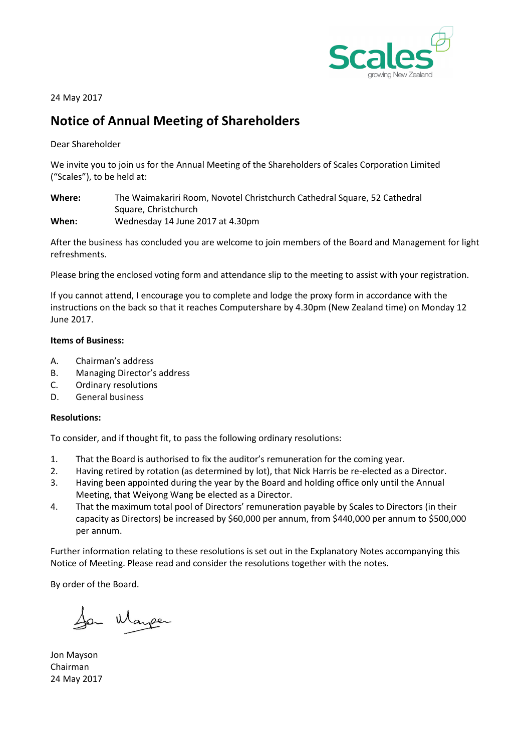

24 May 2017

# Notice of Annual Meeting of Shareholders

Dear Shareholder

We invite you to join us for the Annual Meeting of the Shareholders of Scales Corporation Limited ("Scales"), to be held at:

Where: The Waimakariri Room, Novotel Christchurch Cathedral Square, 52 Cathedral Square, Christchurch When: Wednesday 14 June 2017 at 4.30pm

After the business has concluded you are welcome to join members of the Board and Management for light refreshments.

Please bring the enclosed voting form and attendance slip to the meeting to assist with your registration.

If you cannot attend, I encourage you to complete and lodge the proxy form in accordance with the instructions on the back so that it reaches Computershare by 4.30pm (New Zealand time) on Monday 12 June 2017.

# Items of Business:

- A. Chairman's address
- B. Managing Director's address
- C. Ordinary resolutions
- D. General business

# Resolutions:

To consider, and if thought fit, to pass the following ordinary resolutions:

- 1. That the Board is authorised to fix the auditor's remuneration for the coming year.
- 2. Having retired by rotation (as determined by lot), that Nick Harris be re-elected as a Director.
- 3. Having been appointed during the year by the Board and holding office only until the Annual Meeting, that Weiyong Wang be elected as a Director.
- 4. That the maximum total pool of Directors' remuneration payable by Scales to Directors (in their capacity as Directors) be increased by \$60,000 per annum, from \$440,000 per annum to \$500,000 per annum.

Further information relating to these resolutions is set out in the Explanatory Notes accompanying this Notice of Meeting. Please read and consider the resolutions together with the notes.

By order of the Board.

San Manper

Jon Mayson Chairman 24 May 2017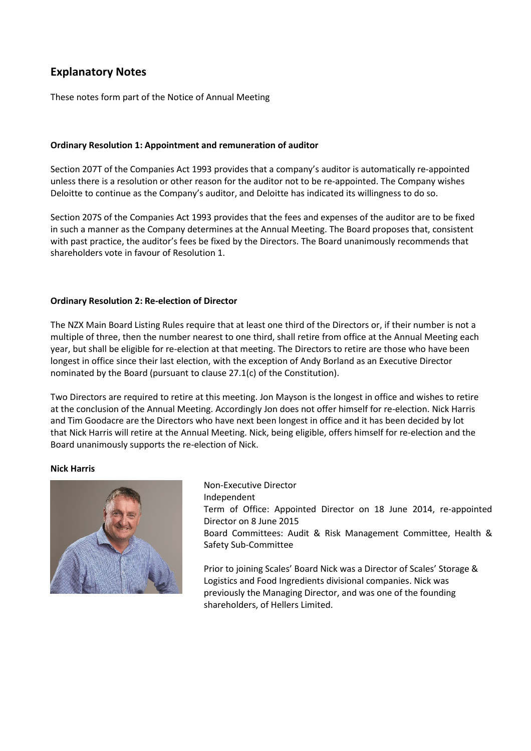# Explanatory Notes

These notes form part of the Notice of Annual Meeting

# Ordinary Resolution 1: Appointment and remuneration of auditor

Section 207T of the Companies Act 1993 provides that a company's auditor is automatically re-appointed unless there is a resolution or other reason for the auditor not to be re-appointed. The Company wishes Deloitte to continue as the Company's auditor, and Deloitte has indicated its willingness to do so.

Section 207S of the Companies Act 1993 provides that the fees and expenses of the auditor are to be fixed in such a manner as the Company determines at the Annual Meeting. The Board proposes that, consistent with past practice, the auditor's fees be fixed by the Directors. The Board unanimously recommends that shareholders vote in favour of Resolution 1.

# Ordinary Resolution 2: Re-election of Director

The NZX Main Board Listing Rules require that at least one third of the Directors or, if their number is not a multiple of three, then the number nearest to one third, shall retire from office at the Annual Meeting each year, but shall be eligible for re-election at that meeting. The Directors to retire are those who have been longest in office since their last election, with the exception of Andy Borland as an Executive Director nominated by the Board (pursuant to clause 27.1(c) of the Constitution).

Two Directors are required to retire at this meeting. Jon Mayson is the longest in office and wishes to retire at the conclusion of the Annual Meeting. Accordingly Jon does not offer himself for re-election. Nick Harris and Tim Goodacre are the Directors who have next been longest in office and it has been decided by lot that Nick Harris will retire at the Annual Meeting. Nick, being eligible, offers himself for re-election and the Board unanimously supports the re-election of Nick.

# Nick Harris



Non-Executive Director Independent Term of Office: Appointed Director on 18 June 2014, re-appointed Director on 8 June 2015 Board Committees: Audit & Risk Management Committee, Health & Safety Sub-Committee

Prior to joining Scales' Board Nick was a Director of Scales' Storage & Logistics and Food Ingredients divisional companies. Nick was previously the Managing Director, and was one of the founding shareholders, of Hellers Limited.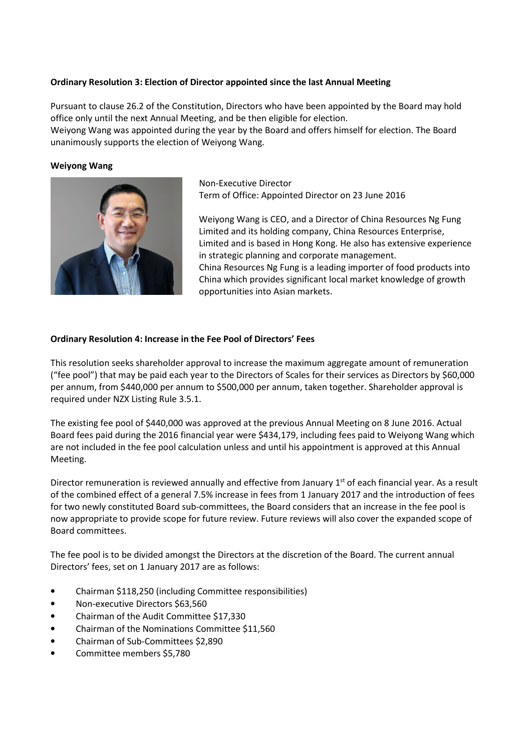# Ordinary Resolution 3: Election of Director appointed since the last Annual Meeting

Pursuant to clause 26.2 of the Constitution, Directors who have been appointed by the Board may hold office only until the next Annual Meeting, and be then eligible for election. Weiyong Wang was appointed during the year by the Board and offers himself for election. The Board unanimously supports the election of Weiyong Wang.

#### Weiyong Wang



 Non-Executive Director Term of Office: Appointed Director on 23 June 2016

 Weiyong Wang is CEO, and a Director of China Resources Ng Fung Limited and its holding company, China Resources Enterprise, Limited and is based in Hong Kong. He also has extensive experience in strategic planning and corporate management. China Resources Ng Fung is a leading importer of food products into China which provides significant local market knowledge of growth opportunities into Asian markets.

#### Ordinary Resolution 4: Increase in the Fee Pool of Directors' Fees

This resolution seeks shareholder approval to increase the maximum aggregate amount of remuneration ("fee pool") that may be paid each year to the Directors of Scales for their services as Directors by \$60,000 per annum, from \$440,000 per annum to \$500,000 per annum, taken together. Shareholder approval is required under NZX Listing Rule 3.5.1.

The existing fee pool of \$440,000 was approved at the previous Annual Meeting on 8 June 2016. Actual Board fees paid during the 2016 financial year were \$434,179, including fees paid to Weiyong Wang which are not included in the fee pool calculation unless and until his appointment is approved at this Annual Meeting.

Director remuneration is reviewed annually and effective from January  $1<sup>st</sup>$  of each financial year. As a result of the combined effect of a general 7.5% increase in fees from 1 January 2017 and the introduction of fees for two newly constituted Board sub-committees, the Board considers that an increase in the fee pool is now appropriate to provide scope for future review. Future reviews will also cover the expanded scope of Board committees.

The fee pool is to be divided amongst the Directors at the discretion of the Board. The current annual Directors' fees, set on 1 January 2017 are as follows:

- Chairman \$118,250 (including Committee responsibilities)
- Non-executive Directors \$63,560
- Chairman of the Audit Committee \$17,330
- Chairman of the Nominations Committee \$11,560
- Chairman of Sub-Committees \$2,890
- Committee members \$5,780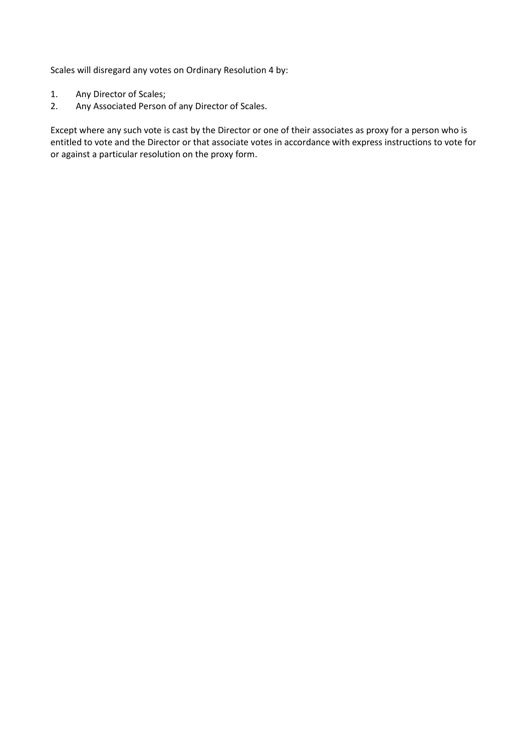Scales will disregard any votes on Ordinary Resolution 4 by:

- 1. Any Director of Scales;
- 2. Any Associated Person of any Director of Scales.

Except where any such vote is cast by the Director or one of their associates as proxy for a person who is entitled to vote and the Director or that associate votes in accordance with express instructions to vote for or against a particular resolution on the proxy form.